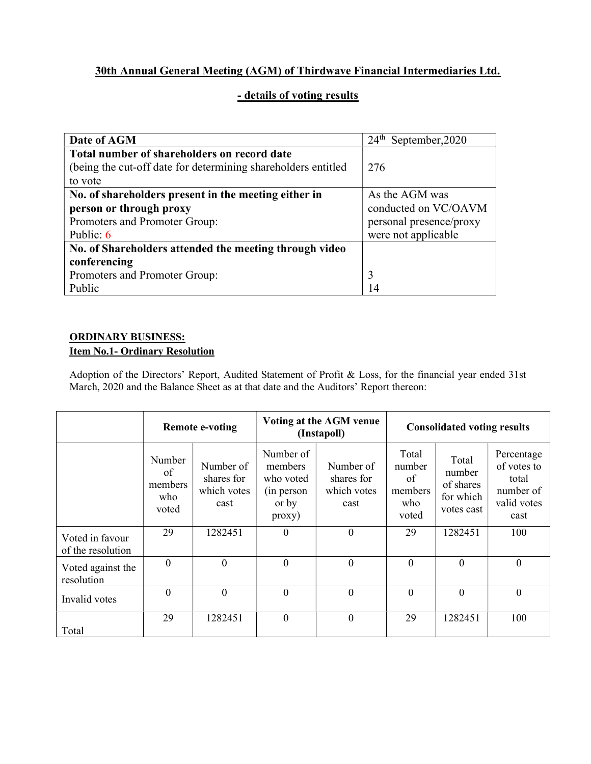# 30th Annual General Meeting (AGM) of Thirdwave Financial Intermediaries Ltd.

### - details of voting results

| Date of AGM                                                   | $24^{\text{th}}$<br>September, 2020 |  |  |  |
|---------------------------------------------------------------|-------------------------------------|--|--|--|
| Total number of shareholders on record date                   |                                     |  |  |  |
| (being the cut-off date for determining shareholders entitled | 276                                 |  |  |  |
| to vote                                                       |                                     |  |  |  |
| No. of shareholders present in the meeting either in          | As the AGM was                      |  |  |  |
| person or through proxy                                       | conducted on VC/OAVM                |  |  |  |
| Promoters and Promoter Group:                                 | personal presence/proxy             |  |  |  |
| Public: $6$                                                   | were not applicable                 |  |  |  |
| No. of Shareholders attended the meeting through video        |                                     |  |  |  |
| conferencing                                                  |                                     |  |  |  |
| Promoters and Promoter Group:                                 | 3                                   |  |  |  |
| Public                                                        | 14                                  |  |  |  |

#### ORDINARY BUSINESS: Item No.1- Ordinary Resolution

Adoption of the Directors' Report, Audited Statement of Profit & Loss, for the financial year ended 31st March, 2020 and the Balance Sheet as at that date and the Auditors' Report thereon:

|                                      | <b>Remote e-voting</b>                  |                                                | Voting at the AGM venue<br>(Instapoll)                                                |                                                | <b>Consolidated voting results</b>               |                                                         |                                                                        |
|--------------------------------------|-----------------------------------------|------------------------------------------------|---------------------------------------------------------------------------------------|------------------------------------------------|--------------------------------------------------|---------------------------------------------------------|------------------------------------------------------------------------|
|                                      | Number<br>of<br>members<br>who<br>voted | Number of<br>shares for<br>which votes<br>cast | Number of<br>members<br>who voted<br>(in person<br>or by<br>$\text{prox}(\mathbf{y})$ | Number of<br>shares for<br>which votes<br>cast | Total<br>number<br>of<br>members<br>who<br>voted | Total<br>number<br>of shares<br>for which<br>votes cast | Percentage<br>of votes to<br>total<br>number of<br>valid votes<br>cast |
| Voted in favour<br>of the resolution | 29                                      | 1282451                                        | $\mathbf{0}$                                                                          | $\overline{0}$                                 | 29                                               | 1282451                                                 | 100                                                                    |
| Voted against the<br>resolution      | $\theta$                                | $\theta$                                       | $\mathbf{0}$                                                                          | $\theta$                                       | $\Omega$                                         | $\theta$                                                | $\overline{0}$                                                         |
| Invalid votes                        | $\Omega$                                | $\theta$                                       | $\mathbf{0}$                                                                          | $\overline{0}$                                 | $\overline{0}$                                   | $\Omega$                                                | $\overline{0}$                                                         |
| Total                                | 29                                      | 1282451                                        | $\mathbf{0}$                                                                          | $\boldsymbol{0}$                               | 29                                               | 1282451                                                 | 100                                                                    |